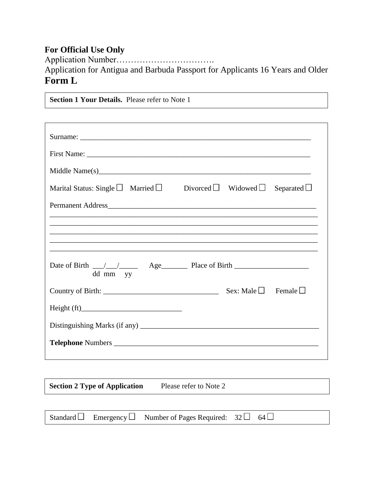## **For Official Use Only**

Application Number…………………………….

Application for Antigua and Barbuda Passport for Applicants 16 Years and Older **Form L**

**Section 1 Your Details.** Please refer to Note 1 Surname: \_\_\_\_\_\_\_\_\_\_\_\_\_\_\_\_\_\_\_\_\_\_\_\_\_\_\_\_\_\_\_\_\_\_\_\_\_\_\_\_\_\_\_\_\_\_\_\_\_\_\_\_\_\_\_\_\_\_\_\_\_\_ First Name: Middle Name(s)\_\_\_\_\_\_\_\_\_\_\_\_\_\_\_\_\_\_\_\_\_\_\_\_\_\_\_\_\_\_\_\_\_\_\_\_\_\_\_\_\_\_\_\_\_\_\_\_\_\_\_\_\_\_\_\_\_ Marital Status: Single  $\Box$  Married  $\Box$  Divorced  $\Box$  Widowed  $\Box$  Separated  $\Box$ Permanent Address \_\_\_\_\_\_\_\_\_\_\_\_\_\_\_\_\_\_\_\_\_\_\_\_\_\_\_\_\_\_\_\_\_\_\_\_\_\_\_\_\_\_\_\_\_\_\_\_\_\_\_\_\_\_\_\_\_\_\_\_\_\_\_\_\_\_\_\_\_\_\_\_ \_\_\_\_\_\_\_\_\_\_\_\_\_\_\_\_\_\_\_\_\_\_\_\_\_\_\_\_\_\_\_\_\_\_\_\_\_\_\_\_\_\_\_\_\_\_\_\_\_\_\_\_\_\_\_\_\_\_\_\_\_\_\_\_\_\_\_\_\_\_\_\_ \_\_\_\_\_\_\_\_\_\_\_\_\_\_\_\_\_\_\_\_\_\_\_\_\_\_\_\_\_\_\_\_\_\_\_\_\_\_\_\_\_\_\_\_\_\_\_\_\_\_\_\_\_\_\_\_\_\_\_\_\_\_\_\_\_\_\_\_\_\_\_\_ \_\_\_\_\_\_\_\_\_\_\_\_\_\_\_\_\_\_\_\_\_\_\_\_\_\_\_\_\_\_\_\_\_\_\_\_\_\_\_\_\_\_\_\_\_\_\_\_\_\_\_\_\_\_\_\_\_\_\_\_\_\_\_\_\_\_\_\_\_\_\_\_ \_\_\_\_\_\_\_\_\_\_\_\_\_\_\_\_\_\_\_\_\_\_\_\_\_\_\_\_\_\_\_\_\_\_\_\_\_\_\_\_\_\_\_\_\_\_\_\_\_\_\_\_\_\_\_\_\_\_\_\_\_\_\_\_\_\_\_\_\_\_\_\_ Date of Birth \_\_\_/\_\_\_/\_\_\_\_\_ Age\_\_\_\_\_\_\_ Place of Birth \_\_\_\_\_\_\_\_\_\_\_\_\_\_\_\_\_\_\_\_ dd mm yy Country of Birth: \_\_\_\_\_\_\_\_\_\_\_\_\_\_\_\_\_\_\_\_\_\_\_\_\_\_\_\_\_\_\_ Sex: Male Female  $Height (ft)$ Distinguishing Marks (if any) \_\_\_\_\_\_\_\_\_\_\_\_\_\_\_\_\_\_\_\_\_\_\_\_\_\_\_\_\_\_\_\_\_\_\_\_\_\_\_\_\_\_\_\_\_\_\_\_ **Telephone** Numbers \_\_\_\_\_\_\_\_\_\_\_\_\_\_\_\_\_\_\_\_\_\_\_\_\_\_\_\_\_\_\_\_\_\_\_\_\_\_\_\_\_\_\_\_\_\_\_\_\_\_\_\_\_\_\_

**Section 2 Type of Application** Please refer to Note 2

Standard  $\Box$  Emergency  $\Box$  Number of Pages Required:  $32 \Box$  64  $\Box$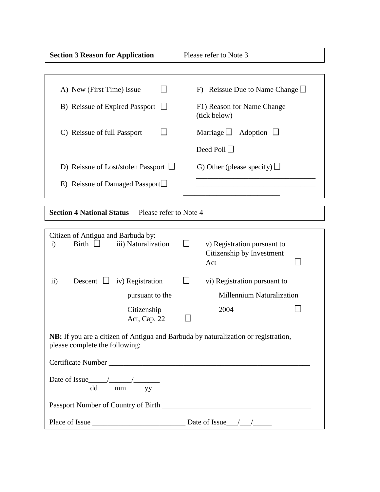| <b>Section 3 Reason for Application</b><br>Please refer to Note 3                                                    |                                                                 |
|----------------------------------------------------------------------------------------------------------------------|-----------------------------------------------------------------|
|                                                                                                                      |                                                                 |
| A) New (First Time) Issue                                                                                            | F) Reissue Due to Name Change $\Box$                            |
| B) Reissue of Expired Passport                                                                                       | F1) Reason for Name Change<br>(tick below)                      |
| C) Reissue of full Passport                                                                                          | Marriage $\Box$<br>Adoption $\Box$                              |
|                                                                                                                      | Deed Poll $\Box$                                                |
| D) Reissue of Lost/stolen Passport $\Box$                                                                            | G) Other (please specify) $\Box$                                |
| E) Reissue of Damaged Passport $\Box$                                                                                |                                                                 |
|                                                                                                                      |                                                                 |
| <b>Section 4 National Status</b><br>Please refer to Note 4                                                           |                                                                 |
| Citizen of Antigua and Barbuda by:<br>Birth<br>iii) Naturalization<br>$\mathbf{i}$                                   | v) Registration pursuant to<br>Citizenship by Investment<br>Act |
| $\rm ii)$<br>iv) Registration<br>Descent $\Box$                                                                      | vi) Registration pursuant to                                    |
| pursuant to the                                                                                                      | <b>Millennium Naturalization</b>                                |
| Citizenship<br>Act, Cap. 22                                                                                          | 2004                                                            |
| NB: If you are a citizen of Antigua and Barbuda by naturalization or registration,<br>please complete the following: |                                                                 |
|                                                                                                                      |                                                                 |
| Date of Issue $\_\_\_\_\_\_\_\_\_\_\_\_\_\_\_\_\_\_\_\_\_\_\_$<br>dd mm yy                                           |                                                                 |
|                                                                                                                      |                                                                 |
| Place of Issue $\_\_\_\_\_\_\_\_\_\_\_\_\_\_\_\_\_\_\_\_\_\_\_\_\_\_\_\_\_\_\_\_\_$                                  |                                                                 |

dd mae'r cyfeiriad ar y gynydd a gynydd ar y gynydd ar y gynydd ar y gynydd ar y gynydd ar y gynydd ar y gynyd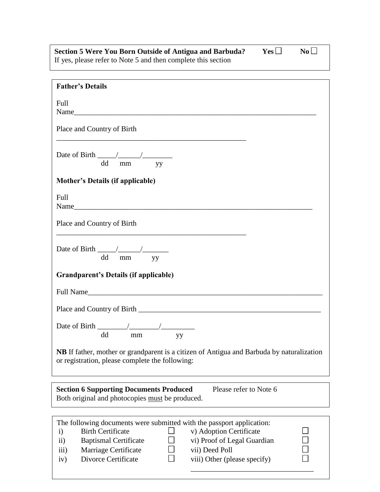| Section 5 Were You Born Outside of Antigua and Barbuda?       | $Yes \Box$ | $N_0$ |
|---------------------------------------------------------------|------------|-------|
| If yes, please refer to Note 5 and then complete this section |            |       |

| <b>Father's Details</b>                                                                                                                                                                                                  |
|--------------------------------------------------------------------------------------------------------------------------------------------------------------------------------------------------------------------------|
| Full                                                                                                                                                                                                                     |
|                                                                                                                                                                                                                          |
| Place and Country of Birth                                                                                                                                                                                               |
|                                                                                                                                                                                                                          |
| Date of Birth $\frac{\sqrt{2}}{2}$<br>dd mm<br>yy                                                                                                                                                                        |
| <b>Mother's Details (if applicable)</b>                                                                                                                                                                                  |
|                                                                                                                                                                                                                          |
| Full<br>Name                                                                                                                                                                                                             |
| Place and Country of Birth<br><u> 1989 - Johann John Stone, mars eta biztanleria (h. 1989).</u>                                                                                                                          |
| Date of Birth $\frac{\ }{\ }$<br>$\sim$ $\sim$<br>dd mm yy                                                                                                                                                               |
| Grandparent's Details (if applicable)                                                                                                                                                                                    |
| Full Name                                                                                                                                                                                                                |
|                                                                                                                                                                                                                          |
| dd mm<br>yу                                                                                                                                                                                                              |
| NB If father, mother or grandparent is a citizen of Antigua and Barbuda by naturalization<br>or registration, please complete the following:                                                                             |
| Please refer to Note 6<br><b>Section 6 Supporting Documents Produced</b><br>Both original and photocopies must be produced.                                                                                              |
|                                                                                                                                                                                                                          |
| The following documents were submitted with the passport application:<br><b>Birth Certificate</b><br>v) Adoption Certificate<br>$\mathbf{i}$<br>vi) Proof of Legal Guardian<br><b>Baptismal Certificate</b><br>$\rm ii)$ |
| vii) Deed Poll<br>Marriage Certificate<br>$\overline{iii}$                                                                                                                                                               |
| Divorce Certificate<br>viii) Other (please specify)<br>iv)                                                                                                                                                               |

\_\_\_\_\_\_\_\_\_\_\_\_\_\_\_\_\_\_\_\_\_\_\_\_\_\_\_\_\_\_\_\_\_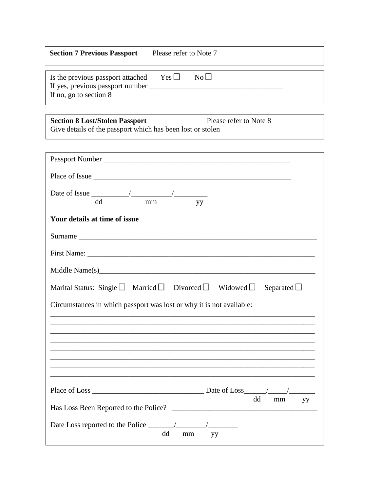| <b>Section 7 Previous Passport</b>                                                              | Please refer to Note 7         |  |
|-------------------------------------------------------------------------------------------------|--------------------------------|--|
| Is the previous passport attached<br>If yes, previous passport number<br>If no, go to section 8 | $Yes \Box$<br>$\overline{N_0}$ |  |

**Section 8 Lost/Stolen Passport** Please refer to Note 8 Give details of the passport which has been lost or stolen

| dd<br>mm<br>yy                                                                               |
|----------------------------------------------------------------------------------------------|
| Your details at time of issue                                                                |
|                                                                                              |
|                                                                                              |
|                                                                                              |
| Marital Status: Single $\Box$ Married $\Box$ Divorced $\Box$ Widowed $\Box$ Separated $\Box$ |
| Circumstances in which passport was lost or why it is not available:                         |
|                                                                                              |
|                                                                                              |
|                                                                                              |
|                                                                                              |
|                                                                                              |
| dd<br>mm<br>yy                                                                               |
| dd<br>mm<br><b>SALA</b>                                                                      |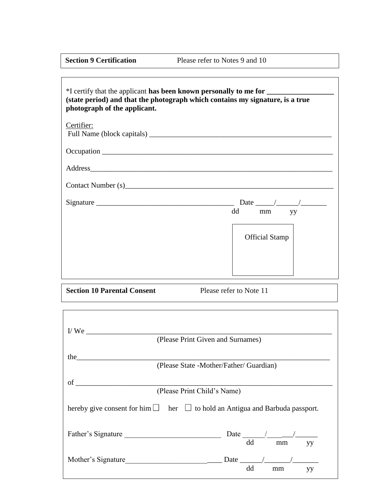**Section 9 Certification Please refer to Notes 9 and 10** 

| *I certify that the applicant has been known personally to me for ______________<br>(state period) and that the photograph which contains my signature, is a true<br>photograph of the applicant.                              |                                         |
|--------------------------------------------------------------------------------------------------------------------------------------------------------------------------------------------------------------------------------|-----------------------------------------|
| Certifier:                                                                                                                                                                                                                     |                                         |
|                                                                                                                                                                                                                                |                                         |
| Address and the contract of the contract of the contract of the contract of the contract of the contract of the contract of the contract of the contract of the contract of the contract of the contract of the contract of th |                                         |
| Contact Number (s) Sandwick Contact Number (s)                                                                                                                                                                                 |                                         |
|                                                                                                                                                                                                                                |                                         |
|                                                                                                                                                                                                                                | dd<br>mm yy                             |
|                                                                                                                                                                                                                                | <b>Official Stamp</b>                   |
| <b>Section 10 Parental Consent</b><br>,我们也不能在这里的时候,我们也不能在这里的时候,我们也不能会在这里的时候,我们也不能会在这里的时候,我们也不能会在这里的时候,我们也不能会在这里的时候,我们也                                                                                                         | Please refer to Note 11                 |
|                                                                                                                                                                                                                                | (Please Print Given and Surnames)       |
| the                                                                                                                                                                                                                            | (Please State -Mother/Father/ Guardian) |
| $\sigma$ of<br>(Please Print Child's Name)                                                                                                                                                                                     |                                         |
| hereby give consent for him $\Box$ her $\Box$ to hold an Antigua and Barbuda passport.                                                                                                                                         |                                         |
| Father's Signature                                                                                                                                                                                                             | dd<br>mm<br>yy                          |
|                                                                                                                                                                                                                                | yy<br>dd<br>mm                          |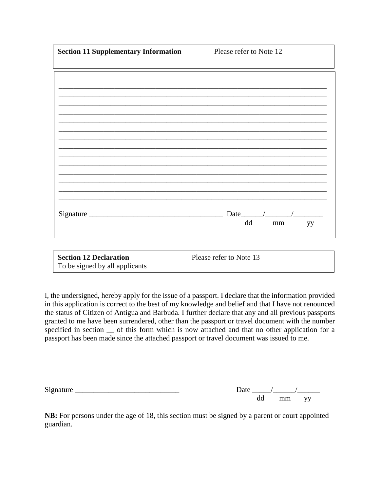| <b>Section 11 Supplementary Information</b> | Please refer to Note 12 |  |
|---------------------------------------------|-------------------------|--|
|                                             |                         |  |
|                                             |                         |  |
|                                             |                         |  |
|                                             |                         |  |
|                                             |                         |  |
|                                             |                         |  |
|                                             |                         |  |
|                                             |                         |  |
|                                             |                         |  |
|                                             |                         |  |
|                                             |                         |  |
|                                             |                         |  |
|                                             |                         |  |
|                                             | yy                      |  |
|                                             |                         |  |
| <b>Section 12 Declaration</b>               | Please refer to Note 13 |  |
| To be signed by all applicants              | dd<br>mm                |  |

I, the undersigned, hereby apply for the issue of a passport. I declare that the information provided in this application is correct to the best of my knowledge and belief and that I have not renounced the status of Citizen of Antigua and Barbuda. I further declare that any and all previous passports granted to me have been surrendered, other than the passport or travel document with the number specified in section  $\Gamma$  of this form which is now attached and that no other application for a passport has been made since the attached passport or travel document was issued to me.

| $\sim$<br>$\mathbf{D}$ |    |                             |  |
|------------------------|----|-----------------------------|--|
|                        | dd | $\sim$<br>,,,,,,,<br>------ |  |

**NB:** For persons under the age of 18, this section must be signed by a parent or court appointed guardian.